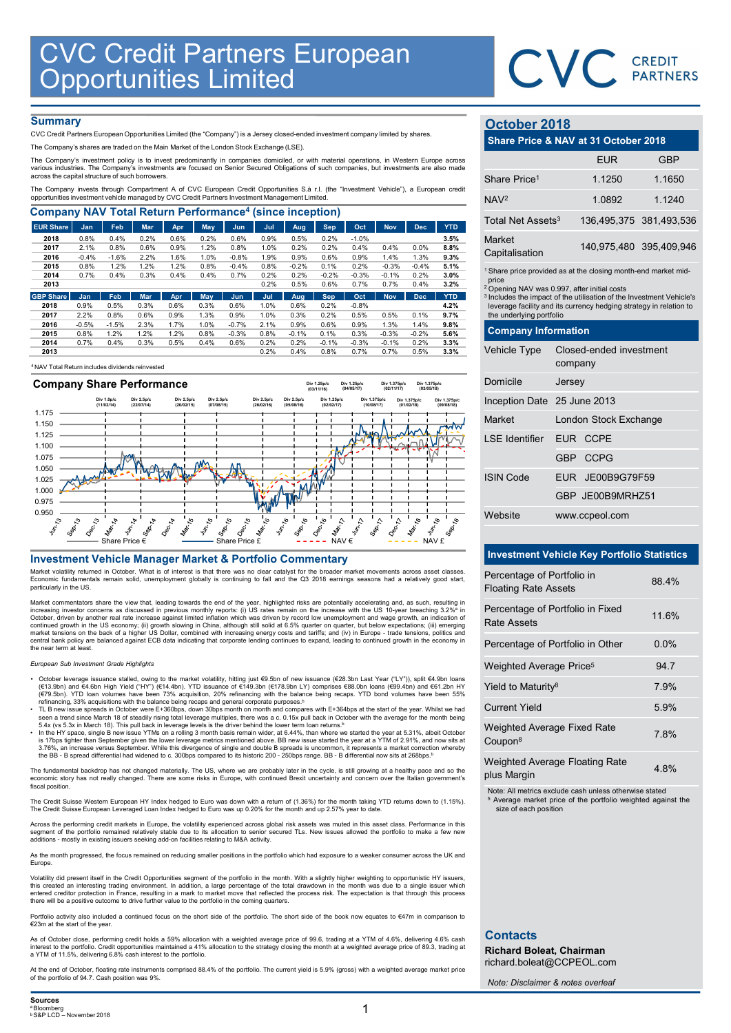

# **Summary**

|                                                                                                                                                                                                                                                                                      | <b>CVC Credit Partners European<br/>Opportunities Limited</b> |                 |              |              |              |                    |              |              |                 |                 |                 |                 |              |                                                         | CVC CREDIT                                                                    |            |
|--------------------------------------------------------------------------------------------------------------------------------------------------------------------------------------------------------------------------------------------------------------------------------------|---------------------------------------------------------------|-----------------|--------------|--------------|--------------|--------------------|--------------|--------------|-----------------|-----------------|-----------------|-----------------|--------------|---------------------------------------------------------|-------------------------------------------------------------------------------|------------|
|                                                                                                                                                                                                                                                                                      |                                                               |                 |              |              |              |                    |              |              |                 |                 |                 |                 |              |                                                         |                                                                               |            |
|                                                                                                                                                                                                                                                                                      |                                                               |                 |              |              |              |                    |              |              |                 |                 |                 |                 |              |                                                         |                                                                               |            |
|                                                                                                                                                                                                                                                                                      |                                                               |                 |              |              |              |                    |              |              |                 |                 |                 |                 |              |                                                         |                                                                               |            |
|                                                                                                                                                                                                                                                                                      |                                                               |                 |              |              |              |                    |              |              |                 |                 |                 |                 |              |                                                         |                                                                               |            |
|                                                                                                                                                                                                                                                                                      |                                                               |                 |              |              |              |                    |              |              |                 |                 |                 |                 |              |                                                         |                                                                               |            |
|                                                                                                                                                                                                                                                                                      |                                                               |                 |              |              |              |                    |              |              |                 |                 |                 |                 |              |                                                         |                                                                               |            |
|                                                                                                                                                                                                                                                                                      |                                                               |                 |              |              |              |                    |              |              |                 |                 |                 |                 |              |                                                         |                                                                               |            |
|                                                                                                                                                                                                                                                                                      |                                                               |                 |              |              |              |                    |              |              |                 |                 |                 |                 |              |                                                         |                                                                               |            |
|                                                                                                                                                                                                                                                                                      |                                                               |                 |              |              |              |                    |              |              |                 |                 |                 |                 |              |                                                         |                                                                               |            |
| <b>Summary</b>                                                                                                                                                                                                                                                                       |                                                               |                 |              |              |              |                    |              |              |                 |                 |                 |                 |              | October 2018                                            |                                                                               |            |
| CVC Credit Partners European Opportunities Limited (the "Company") is a Jersey closed-ended investment company limited by shares.<br>The Company's shares are traded on the Main Market of the London Stock Exchange (LSE).                                                          |                                                               |                 |              |              |              |                    |              |              |                 |                 |                 |                 |              |                                                         | Share Price & NAV at 31 October 2018                                          |            |
| The Company's investment policy is to invest predominantly in companies domiciled, or with material operations, in Western Europe across<br>various industries. The Company's investments are focused on Senior Secured Obligations of such companies, but investments are also made |                                                               |                 |              |              |              |                    |              |              |                 |                 |                 |                 |              |                                                         | <b>EUR</b>                                                                    | <b>GBP</b> |
| across the capital structure of such borrowers.                                                                                                                                                                                                                                      |                                                               |                 |              |              |              |                    |              |              |                 |                 |                 |                 |              | Share Price <sup>1</sup>                                | 1.1250                                                                        | 1.1650     |
| The Company invests through Compartment A of CVC European Credit Opportunities S.à r.l. (the "Investment Vehicle"), a European credit<br>opportunities investment vehicle managed by CVC Credit Partners Investment Management Limited.                                              |                                                               |                 |              |              |              |                    |              |              |                 |                 |                 |                 |              | NAV <sup>2</sup>                                        | 1.0892                                                                        | 1.1240     |
| <b>Company NAV Total Return Performance<sup>4</sup> (since inception)</b>                                                                                                                                                                                                            |                                                               |                 |              |              |              |                    |              |              |                 |                 |                 |                 |              | Total Net Assets <sup>3</sup>                           | 136,495,375 381,493,53                                                        |            |
| <b>EUR Share</b>                                                                                                                                                                                                                                                                     | Jan                                                           | Feb             | <b>Mar</b>   | Apr          | May          | <b>Jun</b>         | Jul          | Aug          | <b>Sep</b>      | Oct             | <b>Nov</b>      | <b>Dec</b>      | <b>YTD</b>   |                                                         |                                                                               |            |
| 2018<br>2017                                                                                                                                                                                                                                                                         | 0.8%<br>2.1%                                                  | 0.4%<br>0.8%    | 0.2%<br>0.6% | 0.6%<br>0.9% | 0.2%<br>1.2% | 0.6%<br>0.8%       | 0.9%<br>1.0% | 0.5%<br>0.2% | 0.2%<br>0.2%    | $-1.0%$<br>0.4% | 0.4%            | 0.0%            | 3.5%<br>8.8% | Market                                                  | 140,975,480 395,409,94                                                        |            |
| 2016                                                                                                                                                                                                                                                                                 | $-0.4%$                                                       | $-1.6%$         | 2.2%         | 1.6%         | 1.0%         | $-0.8%$            | 1.9%         | 0.9%         | 0.6%            | 0.9%            | 1.4%            | 1.3%            | 9.3%         | Capitalisation                                          |                                                                               |            |
|                                                                                                                                                                                                                                                                                      | 0.8%                                                          | 1.2%            | 1.2%         | 1.2%         | 0.8%         | $-0.4%$            | 0.8%         | $-0.2%$      | 0.1%            | 0.2%            | $-0.3%$         | $-0.4%$         | 5.1%         |                                                         | <sup>1</sup> Share price provided as at the closing month-end market mid      |            |
| 2015                                                                                                                                                                                                                                                                                 | 0.7%                                                          | 0.4%            | 0.3%         | 0.4%         | 0.4%         | 0.7%               | 0.2%<br>0.2% | 0.2%<br>0.5% | $-0.2%$<br>0.6% | $-0.3%$<br>0.7% | $-0.1%$<br>0.7% | 0.2%<br>0.4%    | 3.0%<br>3.2% | price                                                   |                                                                               |            |
| 2014<br>2013                                                                                                                                                                                                                                                                         |                                                               |                 | Mar          | Apr          | May          | Jun                | Jul          | Aug          | <b>Sep</b>      | Oct             | <b>Nov</b>      | <b>Dec</b>      | <b>YTD</b>   | <sup>2</sup> Opening NAV was 0.997, after initial costs | <sup>3</sup> Includes the impact of the utilisation of the Investment Vehicle |            |
|                                                                                                                                                                                                                                                                                      |                                                               |                 |              |              | 0.3%         | 0.6%               | 1.0%         | 0.6%         | 0.2%            | $-0.8%$         |                 |                 | 4.2%         |                                                         | leverage facility and its currency hedging strategy in relation t             |            |
| <b>GBP Share</b><br>2018                                                                                                                                                                                                                                                             | Jan<br>0.9%                                                   | Feb<br>0.5%     | 0.3%         | 0.6%         |              |                    | 1.0%         | 0.3%         | 0.2%            | 0.5%            | 0.5%            | 0.1%            | 9.7%         | the underlying portfolio                                |                                                                               |            |
| 2017                                                                                                                                                                                                                                                                                 | 2.2%                                                          | 0.8%            | 0.6%         | 0.9%         | 1.3%         | 0.9%               |              | 0.9%         | 0.6%            | 0.9%            | 1.3%<br>$-0.3%$ | 1.4%<br>$-0.2%$ | 9.8%         | <b>Company Information</b>                              |                                                                               |            |
| 2016<br>2015                                                                                                                                                                                                                                                                         | $-0.5%$<br>0.8%                                               | $-1.5%$<br>1.2% | 2.3%<br>1.2% | 1.7%<br>1.2% | 1.0%<br>0.8% | $-0.7%$<br>$-0.3%$ | 2.1%<br>0.8% | $-0.1%$      | 0.1%            | 0.3%            |                 |                 | 5.6%         |                                                         |                                                                               |            |
| 2014<br>2013                                                                                                                                                                                                                                                                         | 0.7%                                                          | 0.4%            | 0.3%         | 0.5%         | 0.4%         | 0.6%               | 0.2%<br>0.2% | 0.2%<br>0.4% | $-0.1%$<br>0.8% | $-0.3%$<br>0.7% | $-0.1%$<br>0.7% | 0.2%<br>0.5%    | 3.3%<br>3.3% | <b>Vehicle Type</b>                                     | Closed-ended investment                                                       |            |

<sup>4</sup>NAV Total Return includes dividends reinvested



Market volatility returned in October. What is of interest is that there was no clear catalyst for the broader market movements across asset classes. Economic fundamentals remain solid, unemployment globally is continuing to fall and the Q3 2018 earnings seasons had a relatively good start, particularly in the US.

Market commentators share the view that, leading towards the end of the year, highlighted risks are potentially accelerating and, as such, resulting in<br>Increasing investor concerns as discussed in previous monthly reports: continued growth in the US economy; (ii) growth slowing in China, although still solid at 6.5% quarter on quarter, but below expectations; (iii) emerging<br>market tensions on the back of a higher US Dollar, combined with inc the near term at least.

## European Sub Investment Grade Highlights

- October leverage issuance stalled, owing to the market volatility, hitting just  $\Theta$ .5bn of new issuance  $(\epsilon 28.3$ bn Last Year  $(T\cup Y^n)$ , split  $\epsilon 4.9$ bn loans  $(\epsilon 61.9$ bn) and  $\epsilon 4.0$ hn loans (expansion and expansion
- 
- 5.4x (vs 5.3x in March 18). This pull back in leverage levels is the driver behind the lower term loan returns.<sup>b</sup><br>In the HY space, single B new issue YTMs on a rolling 3 month basis remain wider, at 6.44%, than where we s 3.76%, an increase versus September. While this divergence of single and double B spreads is uncommon, it represents a market correction whereby<br>the BB - B spread differential had widened to c. 300bps compared to its histo

The fundamental backdrop has not changed materially. The US, where we are probably later in the cycle, is still growing at a healthy pace and so the<br>economic story has not really changed. There are some risks in Europe, wi fiscal position

The Credit Suisse Western European HY Index hedged to Euro was down with a return of (1.36%) for the month taking YTD returns down to (1.15%).<br>The Credit Suisse European Leveraged Loan Index hedged to Euro was up 0.20% for

Across the performing credit markets in Europe, the volatility experienced across global risk assets was muted in this asset class. Performance in this<br>segment of the portfolio remained relatively stable due to its allocat

As the month progressed, the focus remained on reducing smaller positions in the portfolio which had exposure to a weaker consumer across the UK and Europe.

Volatility did present itself in the Credit Opportunities segment of the portfolio in the month. With a slightly higher weighting to opportunistic HY issuers,<br>this created an interesting trading environment. In addition, a entered creditor protection in France, resulting in a mark to market move that reflected the process risk. The expectation is that through this process<br>there will be a positive outcome to drive further value to the portfol

Portfolio activity also included a continued focus on the short side of the portfolio. The short side of the book now equates to €47m in comparison to €23m at the start of the year.

As of October close, performing credit holds a 59% allocation with a weighted average price of 99.6, trading at a YTM of 4.6%, delivering 4.6% cash<br>interest to the portfolio. Credit opportunities maintained a 41% allocatio

At the end of October, floating rate instruments comprised 88.4% of the portfolio. The current yield is 5.9% (gross) with a weighted average market price of the portfolio of 94.7. Cash position was 9%.

# October 2018

# CREDIT<br>
COCODET 2018<br>
Share Price & NAV at 31 October 2018<br>
EUR

GBP<br>
Share Price<sup>1</sup>

1.1250 1.1650<br>
1.1240<br>
Fatel Net Acesta<sup>3</sup> 1.286 405 275 284 403 526 CREDIT<br>
COCODET 2018<br>
Share Price & NAV at 31 October 2018<br>
Share Price<sup>1</sup> 1.1250 1.1650<br>
NAV<sup>2</sup> 1.0892 1.1240<br>
Total Net Assets<sup>3</sup> 136,495,375 381,493,536<br>
Market<br>
Capitalisation 140,975,480 395,409,946 CREDIT<br>
CREDIT<br>
PARTNERS<br>
CREDIT<br>
PARTNERS<br>
Share Price & NAV at 31 October 2018<br>
EUR GBP<br>
Share Price<sup>1</sup> 1.1250 1.1650<br>
NAV<sup>2</sup> 1.0892 1.1240<br>
Total Net Assets<sup>3</sup> 136,495,375 381,493,536<br>
Market<br>
Capitalisation 140,975,480 CREDIT<br>
Cortober 2018<br>
Share Price & NAV at 31 October 2018<br>
EUR GBP<br>
Share Price<sup>1</sup> 1.1250 1.1650<br>
NAV<sup>2</sup> 1.0892 1.1240<br>
Total Net Assets<sup>3</sup> 136,495,375 381,493,536<br>
Market<br>
Capitalisation 140,975,480 395,409,946<br>
Share p CREDIT<br>
CREDIT<br>
PARTNERS<br>
Share Price & NAV at 31 October 2018<br>
EUR GBP<br>
Share Price<sup>1</sup> 1.1250 1.1650<br>
NAV<sup>2</sup> 1.0892 1.1240<br>
Total Net Assets<sup>3</sup> 136,495,375 381,493,536<br>
Market<br>
Capitalisation 140,975,480 395,409,946<br>
Mark

| Total Net Assets <sup>3</sup> | 136,495,375 381,493,536 |
|-------------------------------|-------------------------|
| Market<br>Capitalisation      | 140,975,480 395,409,946 |

|                                                                                                                                                                                                                                                                                                                                    | CVC CREDIT                                         |                         |  |
|------------------------------------------------------------------------------------------------------------------------------------------------------------------------------------------------------------------------------------------------------------------------------------------------------------------------------------|----------------------------------------------------|-------------------------|--|
| October 2018                                                                                                                                                                                                                                                                                                                       |                                                    |                         |  |
|                                                                                                                                                                                                                                                                                                                                    | Share Price & NAV at 31 October 2018               |                         |  |
|                                                                                                                                                                                                                                                                                                                                    | <b>EUR</b>                                         | <b>GBP</b>              |  |
| Share Price <sup>1</sup>                                                                                                                                                                                                                                                                                                           | 1.1250                                             | 1.1650                  |  |
| NAV <sub>2</sub>                                                                                                                                                                                                                                                                                                                   | 1.0892                                             | 1.1240                  |  |
| Total Net Assets <sup>3</sup>                                                                                                                                                                                                                                                                                                      |                                                    | 136,495,375 381,493,536 |  |
| Market<br>Capitalisation                                                                                                                                                                                                                                                                                                           |                                                    | 140,975,480 395,409,946 |  |
| <sup>1</sup> Share price provided as at the closing month-end market mid-<br>price<br><sup>2</sup> Opening NAV was 0.997, after initial costs<br><sup>3</sup> Includes the impact of the utilisation of the Investment Vehicle's<br>leverage facility and its currency hedging strategy in relation to<br>the underlying portfolio |                                                    |                         |  |
| <b>Company Information</b>                                                                                                                                                                                                                                                                                                         |                                                    |                         |  |
| Vehicle Type                                                                                                                                                                                                                                                                                                                       | Closed-ended investment<br>company                 |                         |  |
| Domicile                                                                                                                                                                                                                                                                                                                           | Jersey                                             |                         |  |
| Inception Date 25 June 2013                                                                                                                                                                                                                                                                                                        |                                                    |                         |  |
| Market                                                                                                                                                                                                                                                                                                                             | London Stock Exchange                              |                         |  |
| <b>LSE Identifier</b>                                                                                                                                                                                                                                                                                                              | EUR CCPE                                           |                         |  |
|                                                                                                                                                                                                                                                                                                                                    | GBP CCPG                                           |                         |  |
| <b>ISIN Code</b>                                                                                                                                                                                                                                                                                                                   | EUR JE00B9G79F59                                   |                         |  |
|                                                                                                                                                                                                                                                                                                                                    | GBP JE00B9MRHZ51                                   |                         |  |
| Website                                                                                                                                                                                                                                                                                                                            | www.ccpeol.com                                     |                         |  |
|                                                                                                                                                                                                                                                                                                                                    |                                                    |                         |  |
|                                                                                                                                                                                                                                                                                                                                    | <b>Investment Vehicle Key Portfolio Statistics</b> |                         |  |
| Percentage of Portfolio in<br><b>Floating Rate Assets</b>                                                                                                                                                                                                                                                                          |                                                    | 88.4%                   |  |
| <b>Rate Assets</b>                                                                                                                                                                                                                                                                                                                 | Percentage of Portfolio in Fixed                   | 11.6%                   |  |
|                                                                                                                                                                                                                                                                                                                                    | Percentage of Portfolio in Other                   | 0.0%                    |  |
| Weighted Average Price <sup>5</sup>                                                                                                                                                                                                                                                                                                |                                                    | 94.7                    |  |
| Yield to Maturity <sup>8</sup>                                                                                                                                                                                                                                                                                                     |                                                    | 7.9%                    |  |
| <b>Current Yield</b>                                                                                                                                                                                                                                                                                                               |                                                    | 5.9%                    |  |
|                                                                                                                                                                                                                                                                                                                                    |                                                    |                         |  |

# Investment Vehicle Key Portfolio Statistics

| Inception Date 25 June 2013                               |                                                    |       |  |
|-----------------------------------------------------------|----------------------------------------------------|-------|--|
| Market                                                    | London Stock Exchange                              |       |  |
| <b>LSE Identifier</b>                                     | EUR CCPE                                           |       |  |
|                                                           | GBP CCPG                                           |       |  |
| <b>ISIN Code</b>                                          | EUR JE00B9G79F59                                   |       |  |
|                                                           | GBP JE00B9MRHZ51                                   |       |  |
| Website                                                   | www.ccpeol.com                                     |       |  |
|                                                           |                                                    |       |  |
|                                                           | <b>Investment Vehicle Key Portfolio Statistics</b> |       |  |
| Percentage of Portfolio in<br><b>Floating Rate Assets</b> |                                                    | 88.4% |  |
| <b>Rate Assets</b>                                        | Percentage of Portfolio in Fixed                   | 11.6% |  |
|                                                           | Percentage of Portfolio in Other                   | 0.0%  |  |
| Weighted Average Price <sup>5</sup>                       |                                                    | 94.7  |  |
| Yield to Maturity <sup>8</sup>                            |                                                    | 7.9%  |  |
| <b>Current Yield</b>                                      |                                                    | 5.9%  |  |
| Weighted Average Fixed Rate<br>Coupon <sup>8</sup>        |                                                    | 7.8%  |  |
| plus Margin                                               | Weighted Average Floating Rate                     | 4.8%  |  |
|                                                           |                                                    |       |  |

Note: All metrics exclude cash unless otherwise stated

<sup>5</sup> Average market price of the portfolio weighted against the size of each position

# **Contacts**

Richard Boleat, Chairman richard.boleat@CCPEOL.com

Note: Disclaimer & notes overleaf